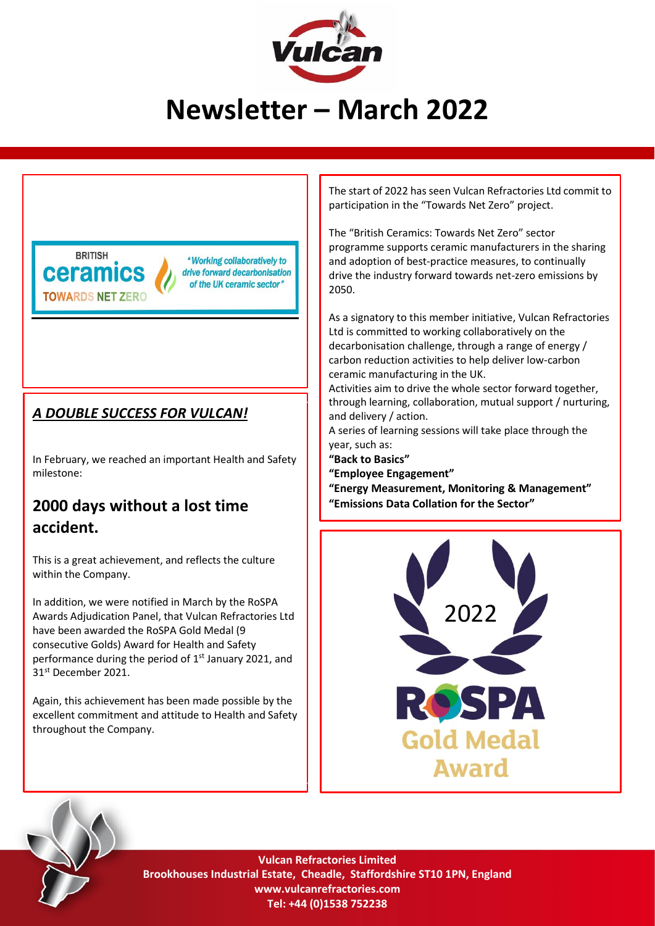

# **Newsletter – March 2022**



"Working collaboratively to drive forward decarbonisation of the UK ceramic sector"

#### *A DOUBLE SUCCESS FOR VULCAN!*

In February, we reached an important Health and Safety milestone:

## **2000 days without a lost time accident.**

This is a great achievement, and reflects the culture within the Company.

In addition, we were notified in March by the RoSPA Awards Adjudication Panel, that Vulcan Refractories Ltd have been awarded the RoSPA Gold Medal (9 consecutive Golds) Award for Health and Safety performance during the period of 1<sup>st</sup> January 2021, and 31st December 2021.

Again, this achievement has been made possible by the excellent commitment and attitude to Health and Safety throughout the Company.

The start of 2022 has seen Vulcan Refractories Ltd commit to participation in the "Towards Net Zero" project.

The "British Ceramics: Towards Net Zero" sector programme supports ceramic manufacturers in the sharing and adoption of best-practice measures, to continually drive the industry forward towards net-zero emissions by 2050.

As a signatory to this member initiative, Vulcan Refractories Ltd is committed to working collaboratively on the decarbonisation challenge, through a range of energy / carbon reduction activities to help deliver low-carbon ceramic manufacturing in the UK.

Activities aim to drive the whole sector forward together, through learning, collaboration, mutual support / nurturing, and delivery / action.

A series of learning sessions will take place through the year, such as:

**"Back to Basics" "Employee Engagement"**

**"Energy Measurement, Monitoring & Management" "Emissions Data Collation for the Sector"**